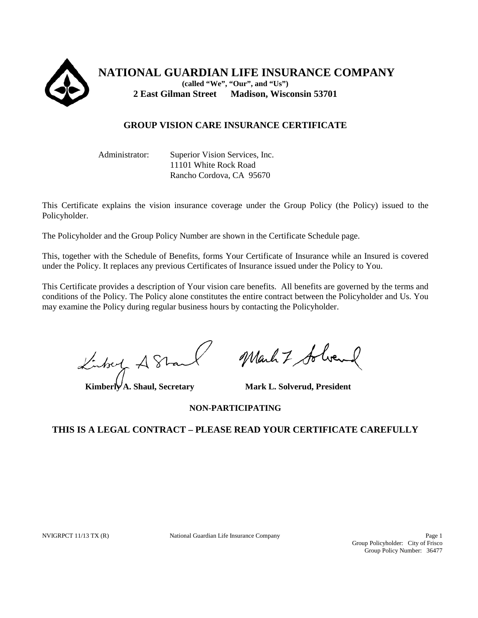

**NATIONAL GUARDIAN LIFE INSURANCE COMPANY (called "We", "Our", and "Us") 2 East Gilman Street Madison, Wisconsin 53701**

# **GROUP VISION CARE INSURANCE CERTIFICATE**

Administrator: Superior Vision Services, Inc. 11101 White Rock Road Rancho Cordova, CA 95670

This Certificate explains the vision insurance coverage under the Group Policy (the Policy) issued to the Policyholder.

The Policyholder and the Group Policy Number are shown in the Certificate Schedule page.

This, together with the Schedule of Benefits, forms Your Certificate of Insurance while an Insured is covered under the Policy. It replaces any previous Certificates of Insurance issued under the Policy to You.

This Certificate provides a description of Your vision care benefits. All benefits are governed by the terms and conditions of the Policy. The Policy alone constitutes the entire contract between the Policyholder and Us. You may examine the Policy during regular business hours by contacting the Policyholder.

Linkey A Stan

Kimberly A. Shaul, Secretary Mark L. Solverud, President

March 7 Solven

**NON-PARTICIPATING**

# **THIS IS A LEGAL CONTRACT – PLEASE READ YOUR CERTIFICATE CAREFULLY**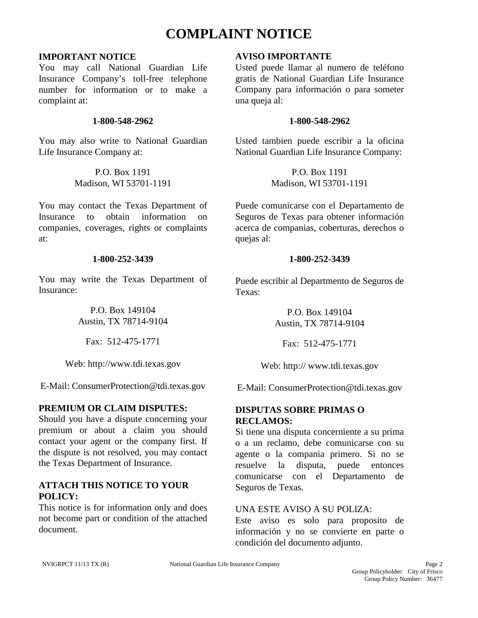# **COMPLAINT NOTICE**

### **IMPORTANT NOTICE**

You may call National Guardian Life Insurance Company's toll-free telephone number for information or to make a complaint at:

#### **1-800-548-2962**

You may also write to National Guardian Life Insurance Company at:

> P.O. Box 1191 Madison, WI 53701-1191

You may contact the Texas Department of Insurance to obtain information on companies, coverages, rights or complaints at:

### **1-800-252-3439**

You may write the Texas Department of Insurance:

> P.O. Box 149104 Austin, TX 78714-9104

Fax: 512-475-1771

Web: http://www.tdi.texas.gov

E-Mail: ConsumerProtection@tdi.texas.gov

# **PREMIUM OR CLAIM DISPUTES:**

Should you have a dispute concerning your premium or about a claim you should contact your agent or the company first. If the dispute is not resolved, you may contact the Texas Department of Insurance.

# **ATTACH THIS NOTICE TO YOUR POLICY:**

This notice is for information only and does not become part or condition of the attached document.

### **AVISO IMPORTANTE**

Usted puede llamar al numero de teléfono gratis de National Guardian Life Insurance Company para información o para someter una queja al:

### **1-800-548-2962**

Usted tambien puede escribir a la oficina National Guardian Life Insurance Company:

> P.O. Box 1191 Madison, WI 53701-1191

Puede comunicarse con el Departamento de Seguros de Texas para obtener información acerca de companias, coberturas, derechos o quejas al:

# **1-800-252-3439**

Puede escribir al Departmento de Seguros de Texas:

> P.O. Box 149104 Austin, TX 78714-9104

Fax: 512-475-1771

Web: http:// www.tdi.texas.gov

E-Mail: ConsumerProtection@tdi.texas.gov

# **DISPUTAS SOBRE PRIMAS O RECLAMOS:**

Si tiene una disputa concerniente a su prima o a un reclamo, debe comunicarse con su agente o la compania primero. Si no se resuelve la disputa, puede entonces comunicarse con el Departamento de Seguros de Texas.

### UNA ESTE AVISO A SU POLIZA:

Este aviso es solo para proposito de información y no se convierte en parte o condición del documento adjunto.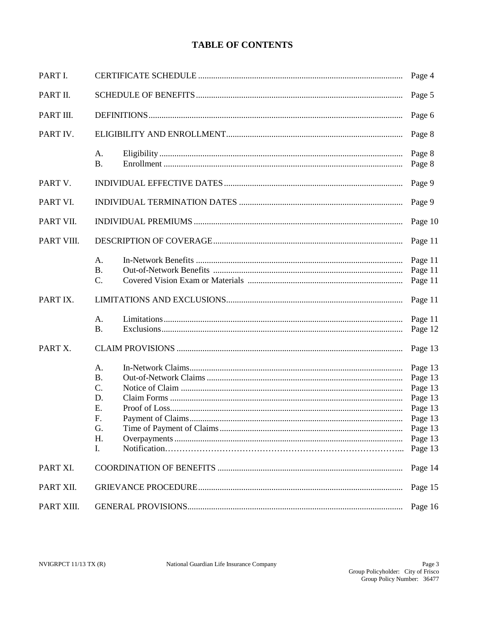# **TABLE OF CONTENTS**

| PART I.    | Page 4                                                    |                                                                                                 |  |
|------------|-----------------------------------------------------------|-------------------------------------------------------------------------------------------------|--|
| PART II.   | Page 5                                                    |                                                                                                 |  |
| PART III.  | Page 6                                                    |                                                                                                 |  |
| PART IV.   |                                                           |                                                                                                 |  |
|            | A.<br><b>B.</b>                                           | Page 8<br>Page 8                                                                                |  |
| PART V.    |                                                           | Page 9                                                                                          |  |
| PART VI.   | Page 9                                                    |                                                                                                 |  |
| PART VII.  | Page 10                                                   |                                                                                                 |  |
| PART VIII. | Page 11                                                   |                                                                                                 |  |
|            | A.<br><b>B.</b><br>C.                                     | Page 11<br>Page 11<br>Page 11                                                                   |  |
| PART IX.   |                                                           | Page 11                                                                                         |  |
|            | A.<br><b>B.</b>                                           | Page 11<br>Page 12                                                                              |  |
| PART X.    |                                                           | Page 13                                                                                         |  |
|            | А.<br><b>B.</b><br>C.<br>D.<br>Ε.<br>F.<br>G.<br>H.<br>I. | Page 13<br>Page 13<br>Page 13<br>Page 13<br>Page 13<br>Page 13<br>Page 13<br>Page 13<br>Page 13 |  |
| PART XI.   |                                                           | Page 14                                                                                         |  |
| PART XII.  | Page 15                                                   |                                                                                                 |  |
| PART XIII. |                                                           | Page 16                                                                                         |  |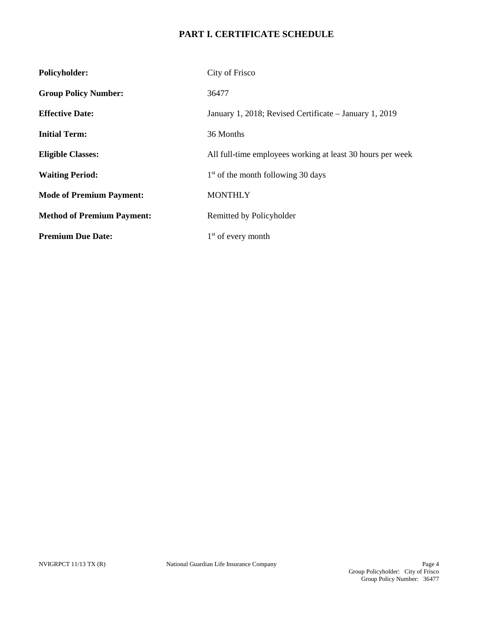# **PART I. CERTIFICATE SCHEDULE**

| <b>Policyholder:</b>              | City of Frisco                                             |  |
|-----------------------------------|------------------------------------------------------------|--|
| <b>Group Policy Number:</b>       | 36477                                                      |  |
| <b>Effective Date:</b>            | January 1, 2018; Revised Certificate – January 1, 2019     |  |
| <b>Initial Term:</b>              | 36 Months                                                  |  |
| <b>Eligible Classes:</b>          | All full-time employees working at least 30 hours per week |  |
| <b>Waiting Period:</b>            | $1st$ of the month following 30 days                       |  |
| <b>Mode of Premium Payment:</b>   | <b>MONTHLY</b>                                             |  |
| <b>Method of Premium Payment:</b> | Remitted by Policyholder                                   |  |
| <b>Premium Due Date:</b>          | $1st$ of every month                                       |  |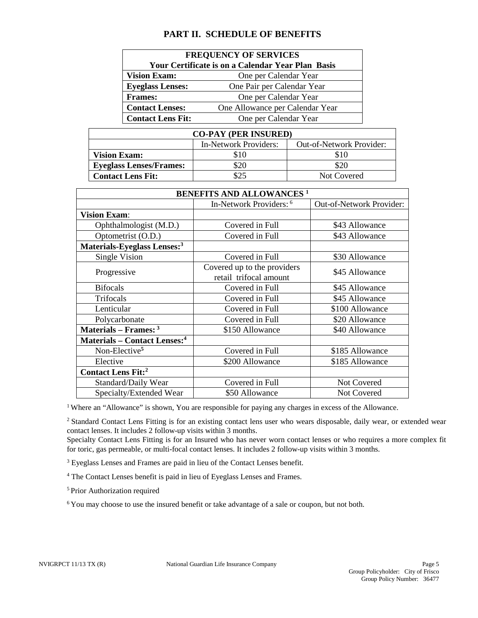# **PART II. SCHEDULE OF BENEFITS**

| <b>FREQUENCY OF SERVICES</b>                              |                            |  |  |  |  |
|-----------------------------------------------------------|----------------------------|--|--|--|--|
| <b>Your Certificate is on a Calendar Year Plan Basis</b>  |                            |  |  |  |  |
| <b>Vision Exam:</b><br>One per Calendar Year              |                            |  |  |  |  |
| <b>Eyeglass Lenses:</b>                                   | One Pair per Calendar Year |  |  |  |  |
| <b>Frames:</b>                                            | One per Calendar Year      |  |  |  |  |
| <b>Contact Lenses:</b><br>One Allowance per Calendar Year |                            |  |  |  |  |
| <b>Contact Lens Fit:</b>                                  | One per Calendar Year      |  |  |  |  |

| <b>CO-PAY (PER INSURED)</b>    |                       |                                 |  |  |  |
|--------------------------------|-----------------------|---------------------------------|--|--|--|
|                                | In-Network Providers: | <b>Out-of-Network Provider:</b> |  |  |  |
| <b>Vision Exam:</b>            | \$10                  | \$10                            |  |  |  |
| <b>Eyeglass Lenses/Frames:</b> | \$20                  | \$20                            |  |  |  |
| <b>Contact Lens Fit:</b>       | \$25                  | Not Covered                     |  |  |  |

| <b>BENEFITS AND ALLOWANCES<sup>1</sup></b>      |                                                       |                                 |  |  |  |
|-------------------------------------------------|-------------------------------------------------------|---------------------------------|--|--|--|
|                                                 | In-Network Providers: 6                               | <b>Out-of-Network Provider:</b> |  |  |  |
| <b>Vision Exam:</b>                             |                                                       |                                 |  |  |  |
| Ophthalmologist (M.D.)                          | Covered in Full                                       | \$43 Allowance                  |  |  |  |
| Optometrist (O.D.)                              | Covered in Full                                       | \$43 Allowance                  |  |  |  |
| Materials-Eyeglass Lenses: <sup>3</sup>         |                                                       |                                 |  |  |  |
| <b>Single Vision</b>                            | Covered in Full                                       | \$30 Allowance                  |  |  |  |
| Progressive                                     | Covered up to the providers<br>retail trifocal amount | \$45 Allowance                  |  |  |  |
| <b>Bifocals</b>                                 | Covered in Full                                       | \$45 Allowance                  |  |  |  |
| Trifocals                                       | Covered in Full                                       | \$45 Allowance                  |  |  |  |
| Lenticular                                      | Covered in Full                                       | \$100 Allowance                 |  |  |  |
| Polycarbonate                                   | Covered in Full                                       | \$20 Allowance                  |  |  |  |
| Materials – Frames: $3$                         | \$150 Allowance                                       | \$40 Allowance                  |  |  |  |
| <b>Materials – Contact Lenses:</b> <sup>4</sup> |                                                       |                                 |  |  |  |
| Non-Elective <sup>5</sup>                       | Covered in Full                                       | \$185 Allowance                 |  |  |  |
| Elective                                        | \$200 Allowance                                       | \$185 Allowance                 |  |  |  |
| <b>Contact Lens Fit:</b> <sup>2</sup>           |                                                       |                                 |  |  |  |
| Standard/Daily Wear                             | Covered in Full                                       | Not Covered                     |  |  |  |
| Specialty/Extended Wear                         | \$50 Allowance                                        | Not Covered                     |  |  |  |

<sup>1</sup> Where an "Allowance" is shown, You are responsible for paying any charges in excess of the Allowance.

<sup>2</sup> Standard Contact Lens Fitting is for an existing contact lens user who wears disposable, daily wear, or extended wear contact lenses. It includes 2 follow-up visits within 3 months.

Specialty Contact Lens Fitting is for an Insured who has never worn contact lenses or who requires a more complex fit for toric, gas permeable, or multi-focal contact lenses. It includes 2 follow-up visits within 3 months.

<sup>3</sup> Eyeglass Lenses and Frames are paid in lieu of the Contact Lenses benefit.

<sup>4</sup> The Contact Lenses benefit is paid in lieu of Eyeglass Lenses and Frames.

5 Prior Authorization required

6 You may choose to use the insured benefit or take advantage of a sale or coupon, but not both.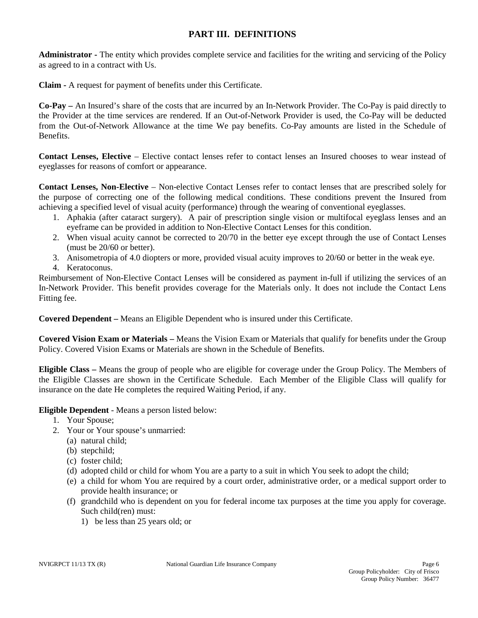# **PART III. DEFINITIONS**

**Administrator -** The entity which provides complete service and facilities for the writing and servicing of the Policy as agreed to in a contract with Us.

**Claim -** A request for payment of benefits under this Certificate.

**Co-Pay –** An Insured's share of the costs that are incurred by an In-Network Provider. The Co-Pay is paid directly to the Provider at the time services are rendered. If an Out-of-Network Provider is used, the Co-Pay will be deducted from the Out-of-Network Allowance at the time We pay benefits. Co-Pay amounts are listed in the Schedule of Benefits.

**Contact Lenses, Elective** – Elective contact lenses refer to contact lenses an Insured chooses to wear instead of eyeglasses for reasons of comfort or appearance.

**Contact Lenses, Non-Elective** – Non-elective Contact Lenses refer to contact lenses that are prescribed solely for the purpose of correcting one of the following medical conditions. These conditions prevent the Insured from achieving a specified level of visual acuity (performance) through the wearing of conventional eyeglasses.

- 1. Aphakia (after cataract surgery). A pair of prescription single vision or multifocal eyeglass lenses and an eyeframe can be provided in addition to Non-Elective Contact Lenses for this condition.
- 2. When visual acuity cannot be corrected to 20/70 in the better eye except through the use of Contact Lenses (must be 20/60 or better).
- 3. Anisometropia of 4.0 diopters or more, provided visual acuity improves to 20/60 or better in the weak eye.
- 4. Keratoconus.

Reimbursement of Non-Elective Contact Lenses will be considered as payment in-full if utilizing the services of an In-Network Provider. This benefit provides coverage for the Materials only. It does not include the Contact Lens Fitting fee.

**Covered Dependent –** Means an Eligible Dependent who is insured under this Certificate.

**Covered Vision Exam or Materials –** Means the Vision Exam or Materials that qualify for benefits under the Group Policy. Covered Vision Exams or Materials are shown in the Schedule of Benefits.

**Eligible Class –** Means the group of people who are eligible for coverage under the Group Policy. The Members of the Eligible Classes are shown in the Certificate Schedule. Each Member of the Eligible Class will qualify for insurance on the date He completes the required Waiting Period, if any.

**Eligible Dependent** - Means a person listed below:

- 1. Your Spouse;
- 2. Your or Your spouse's unmarried:
	- (a) natural child;
	- (b) stepchild;
	- (c) foster child;
	- (d) adopted child or child for whom You are a party to a suit in which You seek to adopt the child;
	- (e) a child for whom You are required by a court order, administrative order, or a medical support order to provide health insurance; or
	- (f) grandchild who is dependent on you for federal income tax purposes at the time you apply for coverage. Such child(ren) must:
		- 1) be less than 25 years old; or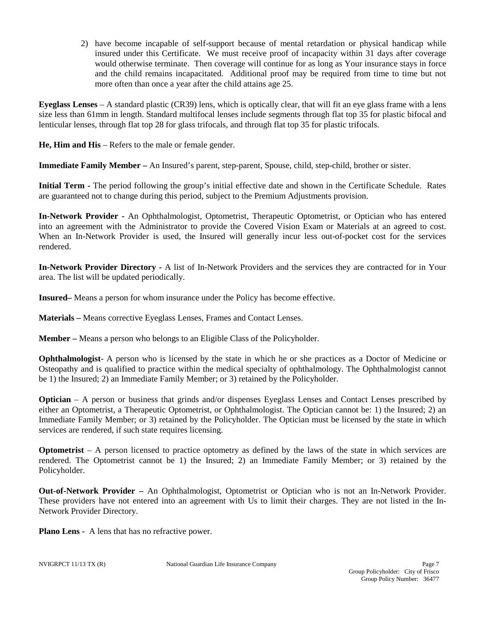2) have become incapable of self-support because of mental retardation or physical handicap while insured under this Certificate. We must receive proof of incapacity within 31 days after coverage would otherwise terminate. Then coverage will continue for as long as Your insurance stays in force and the child remains incapacitated. Additional proof may be required from time to time but not more often than once a year after the child attains age 25.

**Eyeglass Lenses** – A standard plastic (CR39) lens, which is optically clear, that will fit an eye glass frame with a lens size less than 61mm in length. Standard multifocal lenses include segments through flat top 35 for plastic bifocal and lenticular lenses, through flat top 28 for glass trifocals, and through flat top 35 for plastic trifocals.

**He, Him and His** – Refers to the male or female gender.

**Immediate Family Member –** An Insured's parent, step-parent, Spouse, child, step-child, brother or sister.

**Initial Term -** The period following the group's initial effective date and shown in the Certificate Schedule. Rates are guaranteed not to change during this period, subject to the Premium Adjustments provision.

**In-Network Provider -** An Ophthalmologist, Optometrist, Therapeutic Optometrist, or Optician who has entered into an agreement with the Administrator to provide the Covered Vision Exam or Materials at an agreed to cost. When an In-Network Provider is used, the Insured will generally incur less out-of-pocket cost for the services rendered.

**In-Network Provider Directory -** A list of In-Network Providers and the services they are contracted for in Your area. The list will be updated periodically.

**Insured–** Means a person for whom insurance under the Policy has become effective.

**Materials –** Means corrective Eyeglass Lenses, Frames and Contact Lenses.

**Member –** Means a person who belongs to an Eligible Class of the Policyholder.

**Ophthalmologist**- A person who is licensed by the state in which he or she practices as a Doctor of Medicine or Osteopathy and is qualified to practice within the medical specialty of ophthalmology. The Ophthalmologist cannot be 1) the Insured; 2) an Immediate Family Member; or 3) retained by the Policyholder.

**Optician** – A person or business that grinds and/or dispenses Eyeglass Lenses and Contact Lenses prescribed by either an Optometrist, a Therapeutic Optometrist, or Ophthalmologist. The Optician cannot be: 1) the Insured; 2) an Immediate Family Member; or 3) retained by the Policyholder. The Optician must be licensed by the state in which services are rendered, if such state requires licensing.

**Optometrist** – A person licensed to practice optometry as defined by the laws of the state in which services are rendered. The Optometrist cannot be 1) the Insured; 2) an Immediate Family Member; or 3) retained by the Policyholder.

**Out-of-Network Provider –** An Ophthalmologist, Optometrist or Optician who is not an In-Network Provider. These providers have not entered into an agreement with Us to limit their charges. They are not listed in the In-Network Provider Directory.

**Plano Lens -** A lens that has no refractive power.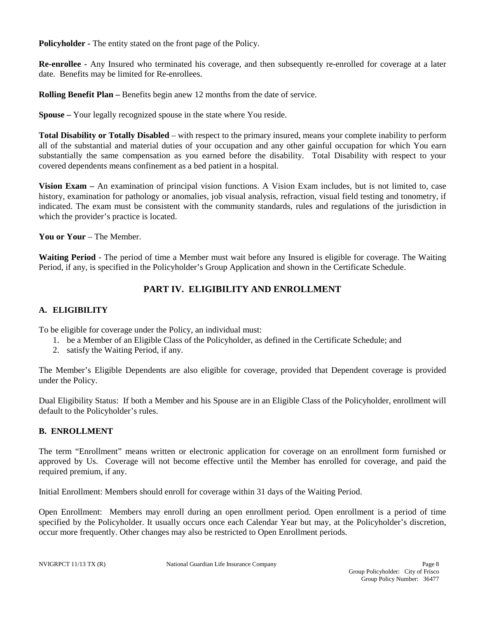**Policyholder -** The entity stated on the front page of the Policy.

**Re-enrollee -** Any Insured who terminated his coverage, and then subsequently re-enrolled for coverage at a later date. Benefits may be limited for Re-enrollees.

**Rolling Benefit Plan –** Benefits begin anew 12 months from the date of service.

**Spouse –** Your legally recognized spouse in the state where You reside.

**Total Disability or Totally Disabled** – with respect to the primary insured, means your complete inability to perform all of the substantial and material duties of your occupation and any other gainful occupation for which You earn substantially the same compensation as you earned before the disability. Total Disability with respect to your covered dependents means confinement as a bed patient in a hospital.

**Vision Exam –** An examination of principal vision functions. A Vision Exam includes, but is not limited to, case history, examination for pathology or anomalies, job visual analysis, refraction, visual field testing and tonometry, if indicated. The exam must be consistent with the community standards, rules and regulations of the jurisdiction in which the provider's practice is located.

**You or Your** – The Member.

**Waiting Period** - The period of time a Member must wait before any Insured is eligible for coverage. The Waiting Period, if any, is specified in the Policyholder's Group Application and shown in the Certificate Schedule.

# **PART IV. ELIGIBILITY AND ENROLLMENT**

### **A. ELIGIBILITY**

To be eligible for coverage under the Policy, an individual must:

- 1. be a Member of an Eligible Class of the Policyholder, as defined in the Certificate Schedule; and
- 2. satisfy the Waiting Period, if any.

The Member's Eligible Dependents are also eligible for coverage, provided that Dependent coverage is provided under the Policy.

Dual Eligibility Status: If both a Member and his Spouse are in an Eligible Class of the Policyholder, enrollment will default to the Policyholder's rules.

### **B. ENROLLMENT**

The term "Enrollment" means written or electronic application for coverage on an enrollment form furnished or approved by Us. Coverage will not become effective until the Member has enrolled for coverage, and paid the required premium, if any.

Initial Enrollment: Members should enroll for coverage within 31 days of the Waiting Period.

Open Enrollment: Members may enroll during an open enrollment period. Open enrollment is a period of time specified by the Policyholder. It usually occurs once each Calendar Year but may, at the Policyholder's discretion, occur more frequently. Other changes may also be restricted to Open Enrollment periods.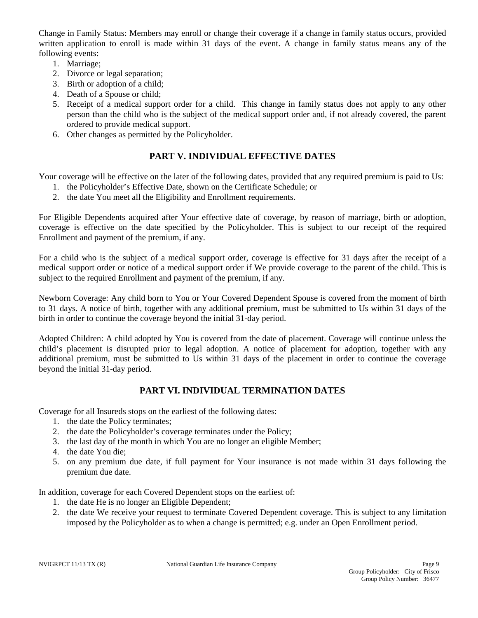Change in Family Status: Members may enroll or change their coverage if a change in family status occurs, provided written application to enroll is made within 31 days of the event. A change in family status means any of the following events:

- 1. Marriage;
- 2. Divorce or legal separation;
- 3. Birth or adoption of a child;
- 4. Death of a Spouse or child;
- 5. Receipt of a medical support order for a child. This change in family status does not apply to any other person than the child who is the subject of the medical support order and, if not already covered, the parent ordered to provide medical support.
- 6. Other changes as permitted by the Policyholder.

# **PART V. INDIVIDUAL EFFECTIVE DATES**

Your coverage will be effective on the later of the following dates, provided that any required premium is paid to Us:

- 1. the Policyholder's Effective Date, shown on the Certificate Schedule; or
- 2. the date You meet all the Eligibility and Enrollment requirements.

For Eligible Dependents acquired after Your effective date of coverage, by reason of marriage, birth or adoption, coverage is effective on the date specified by the Policyholder. This is subject to our receipt of the required Enrollment and payment of the premium, if any.

For a child who is the subject of a medical support order, coverage is effective for 31 days after the receipt of a medical support order or notice of a medical support order if We provide coverage to the parent of the child. This is subject to the required Enrollment and payment of the premium, if any.

Newborn Coverage: Any child born to You or Your Covered Dependent Spouse is covered from the moment of birth to 31 days. A notice of birth, together with any additional premium, must be submitted to Us within 31 days of the birth in order to continue the coverage beyond the initial 31-day period.

Adopted Children: A child adopted by You is covered from the date of placement. Coverage will continue unless the child's placement is disrupted prior to legal adoption. A notice of placement for adoption, together with any additional premium, must be submitted to Us within 31 days of the placement in order to continue the coverage beyond the initial 31-day period.

# **PART VI. INDIVIDUAL TERMINATION DATES**

Coverage for all Insureds stops on the earliest of the following dates:

- 1. the date the Policy terminates;
- 2. the date the Policyholder's coverage terminates under the Policy;
- 3. the last day of the month in which You are no longer an eligible Member;
- 4. the date You die;
- 5. on any premium due date, if full payment for Your insurance is not made within 31 days following the premium due date.

In addition, coverage for each Covered Dependent stops on the earliest of:

- 1. the date He is no longer an Eligible Dependent;
- 2. the date We receive your request to terminate Covered Dependent coverage. This is subject to any limitation imposed by the Policyholder as to when a change is permitted; e.g. under an Open Enrollment period.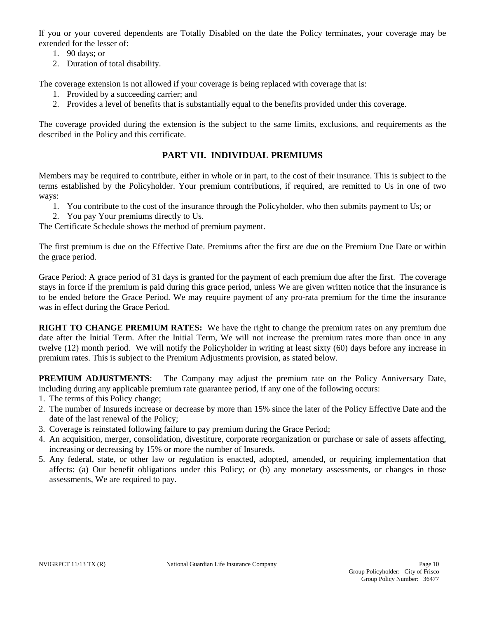If you or your covered dependents are Totally Disabled on the date the Policy terminates, your coverage may be extended for the lesser of:

- 1. 90 days; or
- 2. Duration of total disability.

The coverage extension is not allowed if your coverage is being replaced with coverage that is:

- 1. Provided by a succeeding carrier; and
- 2. Provides a level of benefits that is substantially equal to the benefits provided under this coverage.

The coverage provided during the extension is the subject to the same limits, exclusions, and requirements as the described in the Policy and this certificate.

# **PART VII. INDIVIDUAL PREMIUMS**

Members may be required to contribute, either in whole or in part, to the cost of their insurance. This is subject to the terms established by the Policyholder. Your premium contributions, if required, are remitted to Us in one of two ways:

- 1. You contribute to the cost of the insurance through the Policyholder, who then submits payment to Us; or
- 2. You pay Your premiums directly to Us.

The Certificate Schedule shows the method of premium payment.

The first premium is due on the Effective Date. Premiums after the first are due on the Premium Due Date or within the grace period.

Grace Period: A grace period of 31 days is granted for the payment of each premium due after the first. The coverage stays in force if the premium is paid during this grace period, unless We are given written notice that the insurance is to be ended before the Grace Period. We may require payment of any pro-rata premium for the time the insurance was in effect during the Grace Period.

**RIGHT TO CHANGE PREMIUM RATES:** We have the right to change the premium rates on any premium due date after the Initial Term. After the Initial Term, We will not increase the premium rates more than once in any twelve (12) month period. We will notify the Policyholder in writing at least sixty (60) days before any increase in premium rates. This is subject to the Premium Adjustments provision, as stated below.

**PREMIUM ADJUSTMENTS:** The Company may adjust the premium rate on the Policy Anniversary Date, including during any applicable premium rate guarantee period, if any one of the following occurs:

- 1. The terms of this Policy change;
- 2. The number of Insureds increase or decrease by more than 15% since the later of the Policy Effective Date and the date of the last renewal of the Policy;
- 3. Coverage is reinstated following failure to pay premium during the Grace Period;
- 4. An acquisition, merger, consolidation, divestiture, corporate reorganization or purchase or sale of assets affecting, increasing or decreasing by 15% or more the number of Insureds.
- 5. Any federal, state, or other law or regulation is enacted, adopted, amended, or requiring implementation that affects: (a) Our benefit obligations under this Policy; or (b) any monetary assessments, or changes in those assessments, We are required to pay.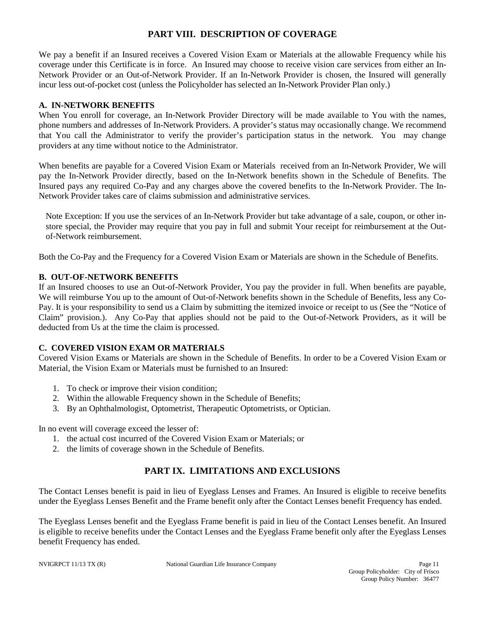# **PART VIII. DESCRIPTION OF COVERAGE**

We pay a benefit if an Insured receives a Covered Vision Exam or Materials at the allowable Frequency while his coverage under this Certificate is in force. An Insured may choose to receive vision care services from either an In-Network Provider or an Out-of-Network Provider. If an In-Network Provider is chosen, the Insured will generally incur less out-of-pocket cost (unless the Policyholder has selected an In-Network Provider Plan only.)

#### **A. IN-NETWORK BENEFITS**

When You enroll for coverage, an In-Network Provider Directory will be made available to You with the names, phone numbers and addresses of In-Network Providers. A provider's status may occasionally change. We recommend that You call the Administrator to verify the provider's participation status in the network. You may change providers at any time without notice to the Administrator.

When benefits are payable for a Covered Vision Exam or Materials received from an In-Network Provider, We will pay the In-Network Provider directly, based on the In-Network benefits shown in the Schedule of Benefits. The Insured pays any required Co-Pay and any charges above the covered benefits to the In-Network Provider. The In-Network Provider takes care of claims submission and administrative services.

Note Exception: If you use the services of an In-Network Provider but take advantage of a sale, coupon, or other instore special, the Provider may require that you pay in full and submit Your receipt for reimbursement at the Outof-Network reimbursement.

Both the Co-Pay and the Frequency for a Covered Vision Exam or Materials are shown in the Schedule of Benefits.

### **B. OUT-OF-NETWORK BENEFITS**

If an Insured chooses to use an Out-of-Network Provider, You pay the provider in full. When benefits are payable, We will reimburse You up to the amount of Out-of-Network benefits shown in the Schedule of Benefits, less any Co-Pay. It is your responsibility to send us a Claim by submitting the itemized invoice or receipt to us (See the "Notice of Claim" provision.). Any Co-Pay that applies should not be paid to the Out-of-Network Providers, as it will be deducted from Us at the time the claim is processed.

### **C. COVERED VISION EXAM OR MATERIALS**

Covered Vision Exams or Materials are shown in the Schedule of Benefits. In order to be a Covered Vision Exam or Material, the Vision Exam or Materials must be furnished to an Insured:

- 1. To check or improve their vision condition;
- 2. Within the allowable Frequency shown in the Schedule of Benefits;
- 3. By an Ophthalmologist, Optometrist, Therapeutic Optometrists, or Optician.

In no event will coverage exceed the lesser of:

- 1. the actual cost incurred of the Covered Vision Exam or Materials; or
- 2. the limits of coverage shown in the Schedule of Benefits.

# **PART IX. LIMITATIONS AND EXCLUSIONS**

The Contact Lenses benefit is paid in lieu of Eyeglass Lenses and Frames. An Insured is eligible to receive benefits under the Eyeglass Lenses Benefit and the Frame benefit only after the Contact Lenses benefit Frequency has ended.

The Eyeglass Lenses benefit and the Eyeglass Frame benefit is paid in lieu of the Contact Lenses benefit. An Insured is eligible to receive benefits under the Contact Lenses and the Eyeglass Frame benefit only after the Eyeglass Lenses benefit Frequency has ended.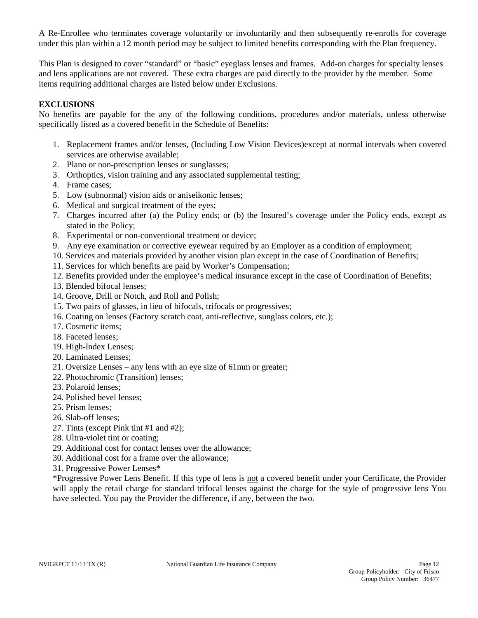A Re-Enrollee who terminates coverage voluntarily or involuntarily and then subsequently re-enrolls for coverage under this plan within a 12 month period may be subject to limited benefits corresponding with the Plan frequency.

This Plan is designed to cover "standard" or "basic" eyeglass lenses and frames. Add-on charges for specialty lenses and lens applications are not covered. These extra charges are paid directly to the provider by the member. Some items requiring additional charges are listed below under Exclusions.

#### **EXCLUSIONS**

No benefits are payable for the any of the following conditions, procedures and/or materials, unless otherwise specifically listed as a covered benefit in the Schedule of Benefits:

- 1. Replacement frames and/or lenses, (Including Low Vision Devices)except at normal intervals when covered services are otherwise available;
- 2. Plano or non-prescription lenses or sunglasses;
- 3. Orthoptics, vision training and any associated supplemental testing;
- 4. Frame cases;
- 5. Low (subnormal) vision aids or aniseikonic lenses;
- 6. Medical and surgical treatment of the eyes;
- 7. Charges incurred after (a) the Policy ends; or (b) the Insured's coverage under the Policy ends, except as stated in the Policy;
- 8. Experimental or non-conventional treatment or device;
- 9. Any eye examination or corrective eyewear required by an Employer as a condition of employment;
- 10. Services and materials provided by another vision plan except in the case of Coordination of Benefits;
- 11. Services for which benefits are paid by Worker's Compensation;
- 12. Benefits provided under the employee's medical insurance except in the case of Coordination of Benefits;
- 13. Blended bifocal lenses;
- 14. Groove, Drill or Notch, and Roll and Polish;
- 15. Two pairs of glasses, in lieu of bifocals, trifocals or progressives;
- 16. Coating on lenses (Factory scratch coat, anti-reflective, sunglass colors, etc.);
- 17. Cosmetic items;
- 18. Faceted lenses;
- 19. High-Index Lenses;
- 20. Laminated Lenses;
- 21. Oversize Lenses any lens with an eye size of 61mm or greater;
- 22. Photochromic (Transition) lenses;
- 23. Polaroid lenses;
- 24. Polished bevel lenses;
- 25. Prism lenses;
- 26. Slab-off lenses;
- 27. Tints (except Pink tint #1 and #2);
- 28. Ultra-violet tint or coating;
- 29. Additional cost for contact lenses over the allowance;
- 30. Additional cost for a frame over the allowance;
- 31. Progressive Power Lenses\*

\*Progressive Power Lens Benefit. If this type of lens is not a covered benefit under your Certificate, the Provider will apply the retail charge for standard trifocal lenses against the charge for the style of progressive lens You have selected. You pay the Provider the difference, if any, between the two.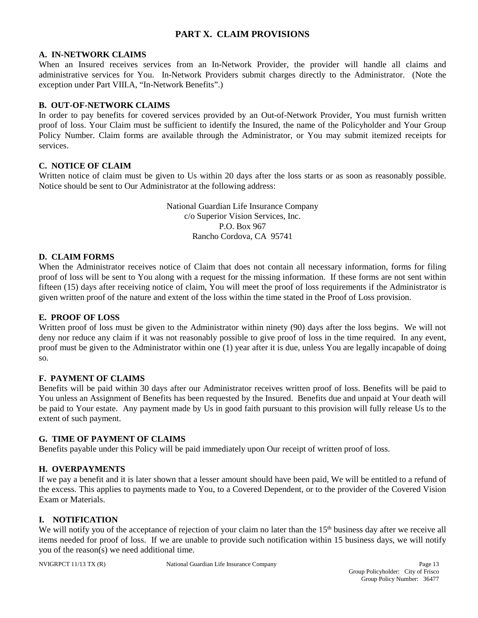# **PART X. CLAIM PROVISIONS**

#### **A. IN-NETWORK CLAIMS**

When an Insured receives services from an In-Network Provider, the provider will handle all claims and administrative services for You. In-Network Providers submit charges directly to the Administrator. (Note the exception under Part VIII.A, "In-Network Benefits".)

#### **B. OUT-OF-NETWORK CLAIMS**

In order to pay benefits for covered services provided by an Out-of-Network Provider, You must furnish written proof of loss. Your Claim must be sufficient to identify the Insured, the name of the Policyholder and Your Group Policy Number. Claim forms are available through the Administrator, or You may submit itemized receipts for services.

#### **C. NOTICE OF CLAIM**

Written notice of claim must be given to Us within 20 days after the loss starts or as soon as reasonably possible. Notice should be sent to Our Administrator at the following address:

> National Guardian Life Insurance Company c/o Superior Vision Services, Inc. P.O. Box 967 Rancho Cordova, CA 95741

#### **D. CLAIM FORMS**

When the Administrator receives notice of Claim that does not contain all necessary information, forms for filing proof of loss will be sent to You along with a request for the missing information. If these forms are not sent within fifteen (15) days after receiving notice of claim, You will meet the proof of loss requirements if the Administrator is given written proof of the nature and extent of the loss within the time stated in the Proof of Loss provision.

#### **E. PROOF OF LOSS**

Written proof of loss must be given to the Administrator within ninety (90) days after the loss begins. We will not deny nor reduce any claim if it was not reasonably possible to give proof of loss in the time required. In any event, proof must be given to the Administrator within one (1) year after it is due, unless You are legally incapable of doing so.

#### **F. PAYMENT OF CLAIMS**

Benefits will be paid within 30 days after our Administrator receives written proof of loss. Benefits will be paid to You unless an Assignment of Benefits has been requested by the Insured. Benefits due and unpaid at Your death will be paid to Your estate. Any payment made by Us in good faith pursuant to this provision will fully release Us to the extent of such payment.

#### **G. TIME OF PAYMENT OF CLAIMS**

Benefits payable under this Policy will be paid immediately upon Our receipt of written proof of loss.

#### **H. OVERPAYMENTS**

If we pay a benefit and it is later shown that a lesser amount should have been paid, We will be entitled to a refund of the excess. This applies to payments made to You, to a Covered Dependent, or to the provider of the Covered Vision Exam or Materials.

#### **I. NOTIFICATION**

We will notify you of the acceptance of rejection of your claim no later than the 15<sup>th</sup> business day after we receive all items needed for proof of loss. If we are unable to provide such notification within 15 business days, we will notify you of the reason(s) we need additional time.

NVIGRPCT 11/13 TX (R) National Guardian Life Insurance Company Page 13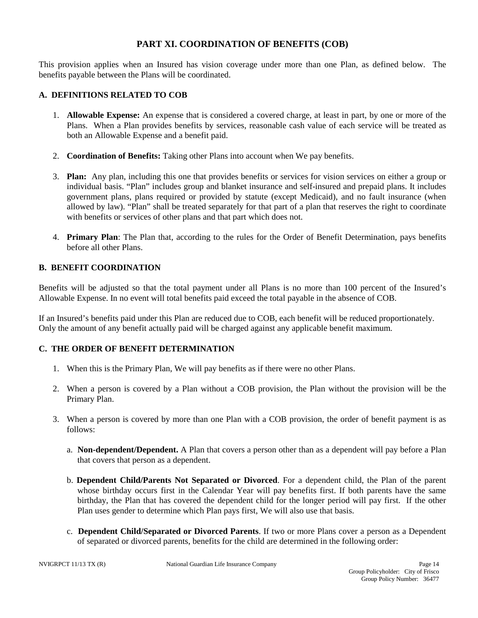### **PART XI. COORDINATION OF BENEFITS (COB)**

This provision applies when an Insured has vision coverage under more than one Plan, as defined below. The benefits payable between the Plans will be coordinated.

#### **A. DEFINITIONS RELATED TO COB**

- 1. **Allowable Expense:** An expense that is considered a covered charge, at least in part, by one or more of the Plans. When a Plan provides benefits by services, reasonable cash value of each service will be treated as both an Allowable Expense and a benefit paid.
- 2. **Coordination of Benefits:** Taking other Plans into account when We pay benefits.
- 3. **Plan:** Any plan, including this one that provides benefits or services for vision services on either a group or individual basis. "Plan" includes group and blanket insurance and self-insured and prepaid plans. It includes government plans, plans required or provided by statute (except Medicaid), and no fault insurance (when allowed by law). "Plan" shall be treated separately for that part of a plan that reserves the right to coordinate with benefits or services of other plans and that part which does not.
- 4. **Primary Plan**: The Plan that, according to the rules for the Order of Benefit Determination, pays benefits before all other Plans.

#### **B. BENEFIT COORDINATION**

Benefits will be adjusted so that the total payment under all Plans is no more than 100 percent of the Insured's Allowable Expense. In no event will total benefits paid exceed the total payable in the absence of COB.

If an Insured's benefits paid under this Plan are reduced due to COB, each benefit will be reduced proportionately. Only the amount of any benefit actually paid will be charged against any applicable benefit maximum.

#### **C. THE ORDER OF BENEFIT DETERMINATION**

- 1. When this is the Primary Plan, We will pay benefits as if there were no other Plans.
- 2. When a person is covered by a Plan without a COB provision, the Plan without the provision will be the Primary Plan.
- 3. When a person is covered by more than one Plan with a COB provision, the order of benefit payment is as follows:
	- a. **Non-dependent/Dependent.** A Plan that covers a person other than as a dependent will pay before a Plan that covers that person as a dependent.
	- b. **Dependent Child/Parents Not Separated or Divorced**. For a dependent child, the Plan of the parent whose birthday occurs first in the Calendar Year will pay benefits first. If both parents have the same birthday, the Plan that has covered the dependent child for the longer period will pay first. If the other Plan uses gender to determine which Plan pays first, We will also use that basis.
	- c. **Dependent Child/Separated or Divorced Parents**. If two or more Plans cover a person as a Dependent of separated or divorced parents, benefits for the child are determined in the following order: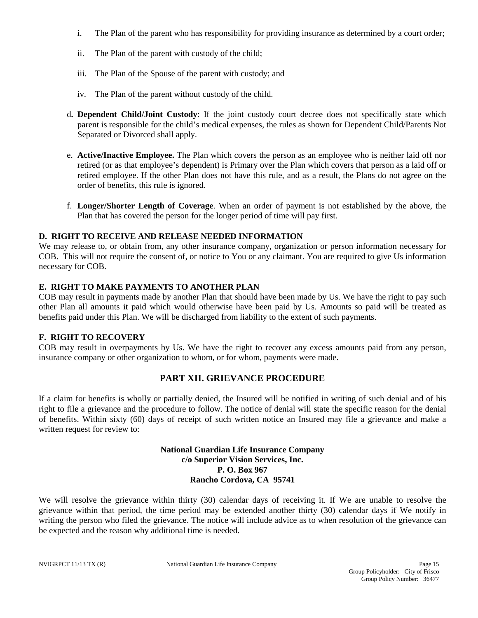- i. The Plan of the parent who has responsibility for providing insurance as determined by a court order;
- ii. The Plan of the parent with custody of the child;
- iii. The Plan of the Spouse of the parent with custody; and
- iv. The Plan of the parent without custody of the child.
- d**. Dependent Child/Joint Custody**: If the joint custody court decree does not specifically state which parent is responsible for the child's medical expenses, the rules as shown for Dependent Child/Parents Not Separated or Divorced shall apply.
- e. **Active/Inactive Employee.** The Plan which covers the person as an employee who is neither laid off nor retired (or as that employee's dependent) is Primary over the Plan which covers that person as a laid off or retired employee. If the other Plan does not have this rule, and as a result, the Plans do not agree on the order of benefits, this rule is ignored.
- f. **Longer/Shorter Length of Coverage**. When an order of payment is not established by the above, the Plan that has covered the person for the longer period of time will pay first.

#### **D. RIGHT TO RECEIVE AND RELEASE NEEDED INFORMATION**

We may release to, or obtain from, any other insurance company, organization or person information necessary for COB. This will not require the consent of, or notice to You or any claimant. You are required to give Us information necessary for COB.

#### **E. RIGHT TO MAKE PAYMENTS TO ANOTHER PLAN**

COB may result in payments made by another Plan that should have been made by Us. We have the right to pay such other Plan all amounts it paid which would otherwise have been paid by Us. Amounts so paid will be treated as benefits paid under this Plan. We will be discharged from liability to the extent of such payments.

#### **F. RIGHT TO RECOVERY**

COB may result in overpayments by Us. We have the right to recover any excess amounts paid from any person, insurance company or other organization to whom, or for whom, payments were made.

# **PART XII. GRIEVANCE PROCEDURE**

If a claim for benefits is wholly or partially denied, the Insured will be notified in writing of such denial and of his right to file a grievance and the procedure to follow. The notice of denial will state the specific reason for the denial of benefits. Within sixty (60) days of receipt of such written notice an Insured may file a grievance and make a written request for review to:

#### **National Guardian Life Insurance Company c/o Superior Vision Services, Inc. P. O. Box 967 Rancho Cordova, CA 95741**

We will resolve the grievance within thirty (30) calendar days of receiving it. If We are unable to resolve the grievance within that period, the time period may be extended another thirty (30) calendar days if We notify in writing the person who filed the grievance. The notice will include advice as to when resolution of the grievance can be expected and the reason why additional time is needed.